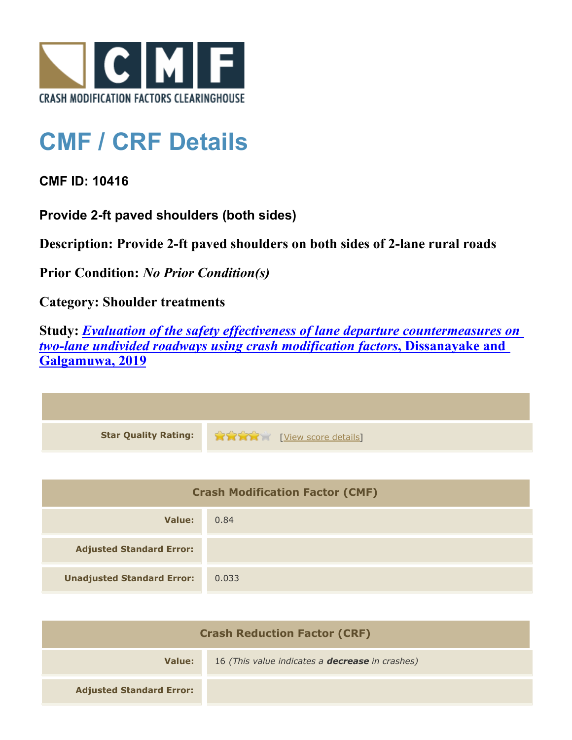

## **CMF / CRF Details**

**CMF ID: 10416**

**Provide 2-ft paved shoulders (both sides)**

**Description: Provide 2-ft paved shoulders on both sides of 2-lane rural roads**

**Prior Condition:** *No Prior Condition(s)*

**Category: Shoulder treatments**

**Study:** *[Evaluation of the safety effectiveness of lane departure countermeasures on](http://www.cmfclearinghouse.org/study_detail.cfm?stid=603) [two-lane undivided roadways using crash modification factors](http://www.cmfclearinghouse.org/study_detail.cfm?stid=603)***[, Dissanayake and](http://www.cmfclearinghouse.org/study_detail.cfm?stid=603) [Galgamuwa, 2019](http://www.cmfclearinghouse.org/study_detail.cfm?stid=603)**

| <b>Star Quality Rating:</b> | <b>THE EXAMPLE EXAMPLE IN THE EXAMPLE OF STATE STATE</b> |
|-----------------------------|----------------------------------------------------------|

| <b>Crash Modification Factor (CMF)</b> |       |
|----------------------------------------|-------|
| Value:                                 | 0.84  |
| <b>Adjusted Standard Error:</b>        |       |
| <b>Unadjusted Standard Error:</b>      | 0.033 |

| <b>Crash Reduction Factor (CRF)</b> |                                                        |
|-------------------------------------|--------------------------------------------------------|
| Value:                              | 16 (This value indicates a <b>decrease</b> in crashes) |
| <b>Adjusted Standard Error:</b>     |                                                        |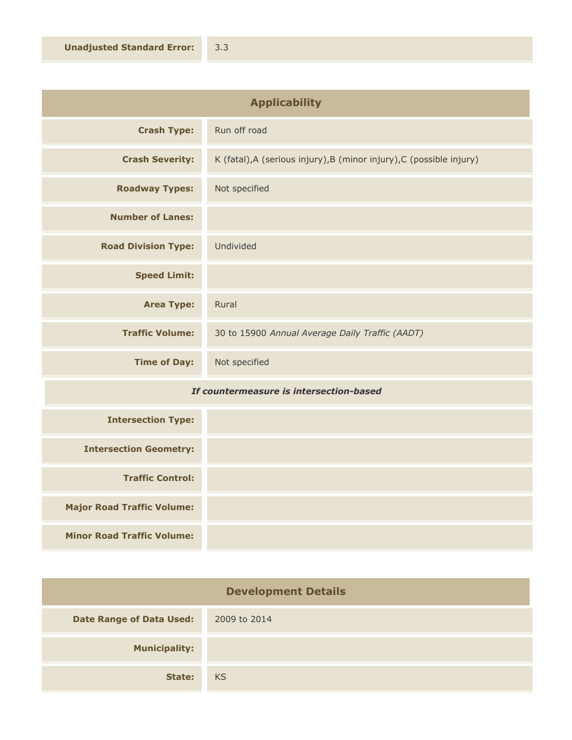| <b>Applicability</b>       |                                                                      |
|----------------------------|----------------------------------------------------------------------|
| <b>Crash Type:</b>         | Run off road                                                         |
| <b>Crash Severity:</b>     | K (fatal), A (serious injury), B (minor injury), C (possible injury) |
| <b>Roadway Types:</b>      | Not specified                                                        |
| <b>Number of Lanes:</b>    |                                                                      |
| <b>Road Division Type:</b> | Undivided                                                            |
| <b>Speed Limit:</b>        |                                                                      |
| <b>Area Type:</b>          | Rural                                                                |
| <b>Traffic Volume:</b>     | 30 to 15900 Annual Average Daily Traffic (AADT)                      |
| <b>Time of Day:</b>        | Not specified                                                        |

## *If countermeasure is intersection-based*

| <b>Intersection Type:</b>         |  |
|-----------------------------------|--|
| <b>Intersection Geometry:</b>     |  |
| <b>Traffic Control:</b>           |  |
| <b>Major Road Traffic Volume:</b> |  |
| <b>Minor Road Traffic Volume:</b> |  |

| <b>Development Details</b>      |              |
|---------------------------------|--------------|
| <b>Date Range of Data Used:</b> | 2009 to 2014 |
| <b>Municipality:</b>            |              |
| State:                          | <b>KS</b>    |